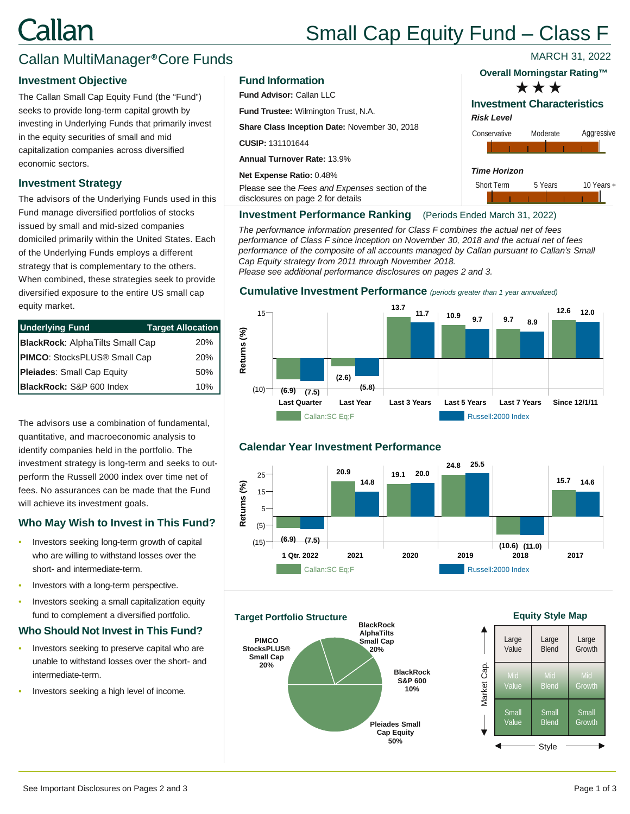# Callan

## Small Cap Equity Fund – Class F

### Callan MultiManager®Core Funds

#### **Investment Objective**

The Callan Small Cap Equity Fund (the "Fund") seeks to provide long-term capital growth by investing in Underlying Funds that primarily invest in the equity securities of small and mid capitalization companies across diversified economic sectors.

#### **Investment Strategy**

The advisors of the Underlying Funds used in this Fund manage diversified portfolios of stocks issued by small and mid-sized companies domiciled primarily within the United States. Each of the Underlying Funds employs a different strategy that is complementary to the others. When combined, these strategies seek to provide diversified exposure to the entire US small cap equity market.

| <b>Underlying Fund</b>                 | Target Allocation |
|----------------------------------------|-------------------|
| <b>BlackRock: AlphaTilts Small Cap</b> | 20%               |
| PIMCO: StocksPLUS® Small Cap           | 20%               |
| Pleiades: Small Cap Equity             | 50%               |
| BlackRock: S&P 600 Index               | 10%               |

The advisors use a combination of fundamental, quantitative, and macroeconomic analysis to identify companies held in the portfolio. The investment strategy is long-term and seeks to outperform the Russell 2000 index over time net of fees. No assurances can be made that the Fund will achieve its investment goals.

#### **Who May Wish to Invest in This Fund?**

- Investors seeking long-term growth of capital who are willing to withstand losses over the short- and intermediate-term.
- Investors with a long-term perspective.
- Investors seeking a small capitalization equity fund to complement a diversified portfolio.

#### **Who Should Not Invest in This Fund?**

- Investors seeking to preserve capital who are unable to withstand losses over the short- and intermediate-term.
- Investors seeking a high level of income.

#### **Fund Information**

**Fund Advisor:** Callan LLC

**Fund Trustee:** Wilmington Trust, N.A.

**Share Class Inception Date:** November 30, 2018

**CUSIP:** 131101644

**Annual Turnover Rate:** 13.9%

**Net Expense Ratio:** 0.48%

Please see the *Fees and Expenses* section of the disclosures on page 2 for details

#### **Overall Morningstar Rating™**

MARCH 31, 2022



### **Investment Characteristics**





#### **Investment Performance Ranking** (Periods Ended March 31, 2022)

*The performance information presented for Class F combines the actual net of fees performance of Class F since inception on November 30, 2018 and the actual net of fees*  performance of the composite of all accounts managed by Callan pursuant to Callan's Small *Cap Equity strategy from 2011 through November 2018. Please see additional performance disclosures on pages 2 and 3.*

#### **Cumulative Investment Performance** *(periods greater than 1 year annualized)*



#### **Calendar Year Investment Performance**



**BlackRock S&P 600 10% Pleiades Small Cap Equity 50% PIMCO StocksPLUS® Small Cap 20% BlackRock AlphaTilts Small Cap 20% Target Portfolio Structure**

#### **Equity Style Map**

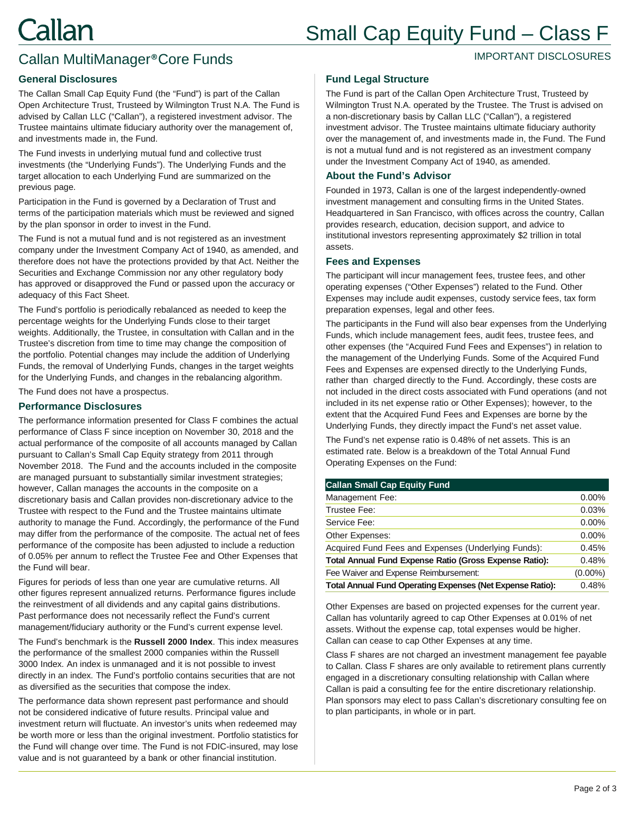## Small Cap Equity Fund – Class F

IMPORTANT DISCLOSURES

## Callan MultiManager®Core Funds

#### **General Disclosures**

The Callan Small Cap Equity Fund (the "Fund") is part of the Callan Open Architecture Trust, Trusteed by Wilmington Trust N.A. The Fund is advised by Callan LLC ("Callan"), a registered investment advisor. The Trustee maintains ultimate fiduciary authority over the management of, and investments made in, the Fund.

The Fund invests in underlying mutual fund and collective trust investments (the "Underlying Funds"). The Underlying Funds and the target allocation to each Underlying Fund are summarized on the previous page.

Participation in the Fund is governed by a Declaration of Trust and terms of the participation materials which must be reviewed and signed by the plan sponsor in order to invest in the Fund.

The Fund is not a mutual fund and is not registered as an investment company under the Investment Company Act of 1940, as amended, and therefore does not have the protections provided by that Act. Neither the Securities and Exchange Commission nor any other regulatory body has approved or disapproved the Fund or passed upon the accuracy or adequacy of this Fact Sheet.

The Fund's portfolio is periodically rebalanced as needed to keep the percentage weights for the Underlying Funds close to their target weights. Additionally, the Trustee, in consultation with Callan and in the Trustee's discretion from time to time may change the composition of the portfolio. Potential changes may include the addition of Underlying Funds, the removal of Underlying Funds, changes in the target weights for the Underlying Funds, and changes in the rebalancing algorithm.

The Fund does not have a prospectus.

#### **Performance Disclosures**

The performance information presented for Class F combines the actual performance of Class F since inception on November 30, 2018 and the actual performance of the composite of all accounts managed by Callan pursuant to Callan's Small Cap Equity strategy from 2011 through November 2018. The Fund and the accounts included in the composite are managed pursuant to substantially similar investment strategies; however, Callan manages the accounts in the composite on a discretionary basis and Callan provides non-discretionary advice to the Trustee with respect to the Fund and the Trustee maintains ultimate authority to manage the Fund. Accordingly, the performance of the Fund may differ from the performance of the composite. The actual net of fees performance of the composite has been adjusted to include a reduction of 0.05% per annum to reflect the Trustee Fee and Other Expenses that the Fund will bear.

Figures for periods of less than one year are cumulative returns. All other figures represent annualized returns. Performance figures include the reinvestment of all dividends and any capital gains distributions. Past performance does not necessarily reflect the Fund's current management/fiduciary authority or the Fund's current expense level.

The Fund's benchmark is the **Russell 2000 Index**. This index measures the performance of the smallest 2000 companies within the Russell 3000 Index. An index is unmanaged and it is not possible to invest directly in an index. The Fund's portfolio contains securities that are not as diversified as the securities that compose the index.

The performance data shown represent past performance and should not be considered indicative of future results. Principal value and investment return will fluctuate. An investor's units when redeemed may be worth more or less than the original investment. Portfolio statistics for the Fund will change over time. The Fund is not FDIC-insured, may lose value and is not guaranteed by a bank or other financial institution.

#### **Fund Legal Structure**

The Fund is part of the Callan Open Architecture Trust, Trusteed by Wilmington Trust N.A. operated by the Trustee. The Trust is advised on a non-discretionary basis by Callan LLC ("Callan"), a registered investment advisor. The Trustee maintains ultimate fiduciary authority over the management of, and investments made in, the Fund. The Fund is not a mutual fund and is not registered as an investment company under the Investment Company Act of 1940, as amended.

#### **About the Fund's Advisor**

Founded in 1973, Callan is one of the largest independently-owned investment management and consulting firms in the United States. Headquartered in San Francisco, with offices across the country, Callan provides research, education, decision support, and advice to institutional investors representing approximately \$2 trillion in total assets.

#### **Fees and Expenses**

The participant will incur management fees, trustee fees, and other operating expenses ("Other Expenses") related to the Fund. Other Expenses may include audit expenses, custody service fees, tax form preparation expenses, legal and other fees.

The participants in the Fund will also bear expenses from the Underlying Funds, which include management fees, audit fees, trustee fees, and other expenses (the "Acquired Fund Fees and Expenses") in relation to the management of the Underlying Funds. Some of the Acquired Fund Fees and Expenses are expensed directly to the Underlying Funds, rather than charged directly to the Fund. Accordingly, these costs are not included in the direct costs associated with Fund operations (and not included in its net expense ratio or Other Expenses); however, to the extent that the Acquired Fund Fees and Expenses are borne by the Underlying Funds, they directly impact the Fund's net asset value.

The Fund's net expense ratio is 0.48% of net assets. This is an estimated rate. Below is a breakdown of the Total Annual Fund Operating Expenses on the Fund:

| <b>Callan Small Cap Equity Fund</b>                              |            |
|------------------------------------------------------------------|------------|
| Management Fee:                                                  | $0.00\%$   |
| Trustee Fee:                                                     | 0.03%      |
| Service Fee:                                                     | 0.00%      |
| Other Expenses:                                                  | 0.00%      |
| Acquired Fund Fees and Expenses (Underlying Funds):              | 0.45%      |
| <b>Total Annual Fund Expense Ratio (Gross Expense Ratio):</b>    | 0.48%      |
| Fee Waiver and Expense Reimbursement:                            | $(0.00\%)$ |
| <b>Total Annual Fund Operating Expenses (Net Expense Ratio):</b> | 0.48%      |
|                                                                  |            |

Other Expenses are based on projected expenses for the current year. Callan has voluntarily agreed to cap Other Expenses at 0.01% of net assets. Without the expense cap, total expenses would be higher. Callan can cease to cap Other Expenses at any time.

Class F shares are not charged an investment management fee payable to Callan. Class F shares are only available to retirement plans currently engaged in a discretionary consulting relationship with Callan where Callan is paid a consulting fee for the entire discretionary relationship. Plan sponsors may elect to pass Callan's discretionary consulting fee on to plan participants, in whole or in part.